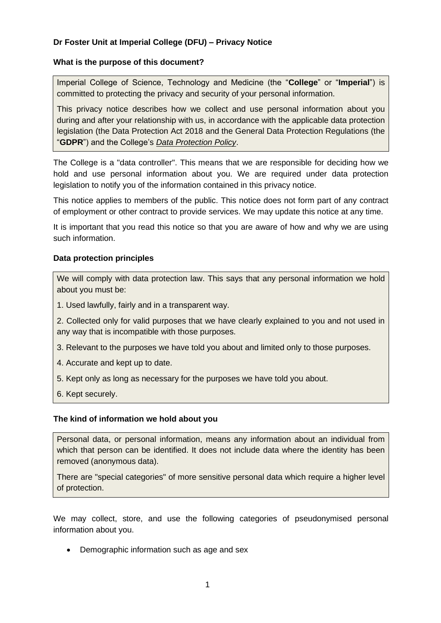# **Dr Foster Unit at Imperial College (DFU) – Privacy Notice**

## **What is the purpose of this document?**

Imperial College of Science, Technology and Medicine (the "**College**" or "**Imperial**") is committed to protecting the privacy and security of your personal information.

This privacy notice describes how we collect and use personal information about you during and after your relationship with us, in accordance with the applicable data protection legislation (the Data Protection Act 2018 and the General Data Protection Regulations (the "**GDPR**") and the College's *[Data Protection Policy](https://www.imperial.ac.uk/media/imperial-college/administration-and-support-services/legal-services-office/public/data-protection/DP_0-Data-Protection-Policy-v1.5-FINAL_27-April-2018.pdf)*.

The College is a "data controller". This means that we are responsible for deciding how we hold and use personal information about you. We are required under data protection legislation to notify you of the information contained in this privacy notice.

This notice applies to members of the public. This notice does not form part of any contract of employment or other contract to provide services. We may update this notice at any time.

It is important that you read this notice so that you are aware of how and why we are using such information.

## **Data protection principles**

We will comply with data protection law. This says that any personal information we hold about you must be:

1. Used lawfully, fairly and in a transparent way.

2. Collected only for valid purposes that we have clearly explained to you and not used in any way that is incompatible with those purposes.

3. Relevant to the purposes we have told you about and limited only to those purposes.

- 4. Accurate and kept up to date.
- 5. Kept only as long as necessary for the purposes we have told you about.
- 6. Kept securely.

### <span id="page-0-0"></span>**The kind of information we hold about you**

Personal data, or personal information, means any information about an individual from which that person can be identified. It does not include data where the identity has been removed (anonymous data).

There are "special categories" of more sensitive personal data which require a higher level of protection.

We may collect, store, and use the following categories of pseudonymised personal information about you.

• Demographic information such as age and sex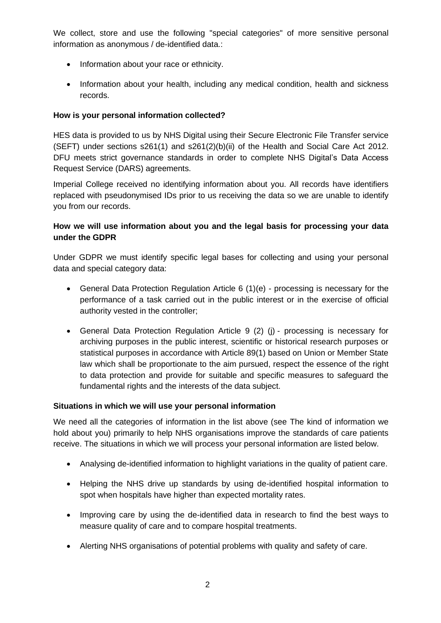We collect, store and use the following "special categories" of more sensitive personal information as anonymous / de-identified data.:

- Information about your race or ethnicity.
- Information about your health, including any medical condition, health and sickness records.

# **How is your personal information collected?**

HES data is provided to us by NHS Digital using their Secure Electronic File Transfer service (SEFT) under sections s261(1) and s261(2)(b)(ii) of the Health and Social Care Act 2012. DFU meets strict governance standards in order to complete NHS Digital's Data Access Request Service (DARS) agreements.

Imperial College received no identifying information about you. All records have identifiers replaced with pseudonymised IDs prior to us receiving the data so we are unable to identify you from our records.

# **How we will use information about you and the legal basis for processing your data under the GDPR**

Under GDPR we must identify specific legal bases for collecting and using your personal data and special category data:

- General Data Protection Regulation Article 6 (1)(e) processing is necessary for the performance of a task carried out in the public interest or in the exercise of official authority vested in the controller;
- General Data Protection Regulation Article 9 (2) (j) processing is necessary for archiving purposes in the public interest, scientific or historical research purposes or statistical purposes in accordance with Article 89(1) based on Union or Member State law which shall be proportionate to the aim pursued, respect the essence of the right to data protection and provide for suitable and specific measures to safeguard the fundamental rights and the interests of the data subject.

## **Situations in which we will use your personal information**

We need all the categories of information in the list above (see [The kind of information](#page-0-0) we [hold about you\)](#page-0-0) primarily to help NHS organisations improve the standards of care patients receive. The situations in which we will process your personal information are listed below.

- Analysing de-identified information to highlight variations in the quality of patient care.
- Helping the NHS drive up standards by using de-identified hospital information to spot when hospitals have higher than expected mortality rates.
- Improving care by using the de-identified data in research to find the best ways to measure quality of care and to compare hospital treatments.
- Alerting NHS organisations of potential problems with quality and safety of care.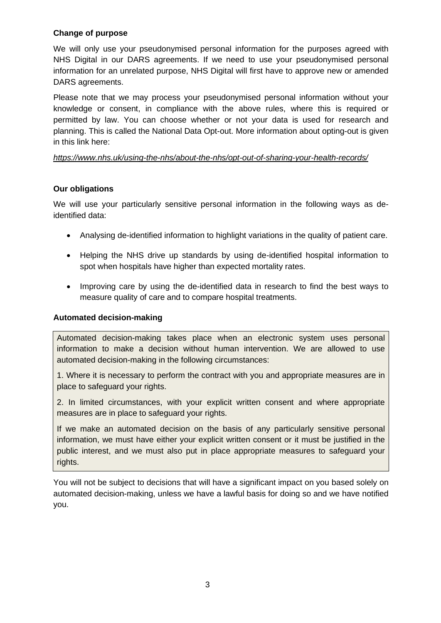## **Change of purpose**

We will only use your pseudonymised personal information for the purposes agreed with NHS Digital in our DARS agreements. If we need to use your pseudonymised personal information for an unrelated purpose, NHS Digital will first have to approve new or amended DARS agreements.

Please note that we may process your pseudonymised personal information without your knowledge or consent, in compliance with the above rules, where this is required or permitted by law. You can choose whether or not your data is used for research and planning. This is called the National Data Opt-out. More information about opting-out is given in this link here:

## *<https://www.nhs.uk/using-the-nhs/about-the-nhs/opt-out-of-sharing-your-health-records/>*

# **Our obligations**

We will use your particularly sensitive personal information in the following ways as deidentified data:

- Analysing de-identified information to highlight variations in the quality of patient care.
- Helping the NHS drive up standards by using de-identified hospital information to spot when hospitals have higher than expected mortality rates.
- Improving care by using the de-identified data in research to find the best ways to measure quality of care and to compare hospital treatments.

## **Automated decision-making**

Automated decision-making takes place when an electronic system uses personal information to make a decision without human intervention. We are allowed to use automated decision-making in the following circumstances:

1. Where it is necessary to perform the contract with you and appropriate measures are in place to safeguard your rights.

2. In limited circumstances, with your explicit written consent and where appropriate measures are in place to safeguard your rights.

If we make an automated decision on the basis of any particularly sensitive personal information, we must have either your explicit written consent or it must be justified in the public interest, and we must also put in place appropriate measures to safeguard your rights.

You will not be subject to decisions that will have a significant impact on you based solely on automated decision-making, unless we have a lawful basis for doing so and we have notified you.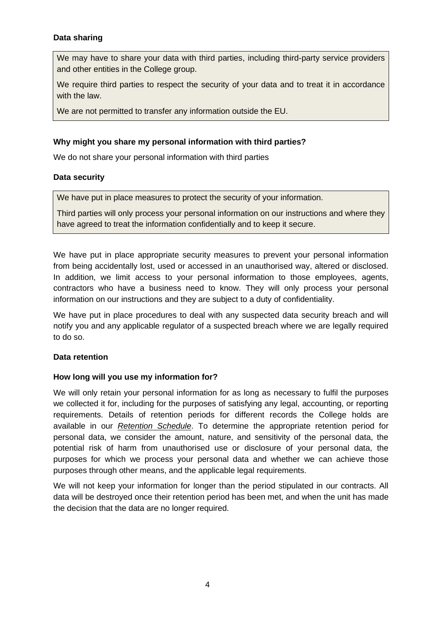## **Data sharing**

We may have to share your data with third parties, including third-party service providers and other entities in the College group.

We require third parties to respect the security of your data and to treat it in accordance with the law.

We are not permitted to transfer any information outside the EU.

### **Why might you share my personal information with third parties?**

We do not share your personal information with third parties

### **Data security**

We have put in place measures to protect the security of your information.

Third parties will only process your personal information on our instructions and where they have agreed to treat the information confidentially and to keep it secure.

We have put in place appropriate security measures to prevent your personal information from being accidentally lost, used or accessed in an unauthorised way, altered or disclosed. In addition, we limit access to your personal information to those employees, agents, contractors who have a business need to know. They will only process your personal information on our instructions and they are subject to a duty of confidentiality.

We have put in place procedures to deal with any suspected data security breach and will notify you and any applicable regulator of a suspected breach where we are legally required to do so.

### **Data retention**

#### **How long will you use my information for?**

We will only retain your personal information for as long as necessary to fulfil the purposes we collected it for, including for the purposes of satisfying any legal, accounting, or reporting requirements. Details of retention periods for different records the College holds are available in our *[Retention Schedule](https://www.imperial.ac.uk/media/imperial-college/administration-and-support-services/records-and-archives/public/RetentionSchedule.pdf)*. To determine the appropriate retention period for personal data, we consider the amount, nature, and sensitivity of the personal data, the potential risk of harm from unauthorised use or disclosure of your personal data, the purposes for which we process your personal data and whether we can achieve those purposes through other means, and the applicable legal requirements.

We will not keep your information for longer than the period stipulated in our contracts. All data will be destroyed once their retention period has been met, and when the unit has made the decision that the data are no longer required.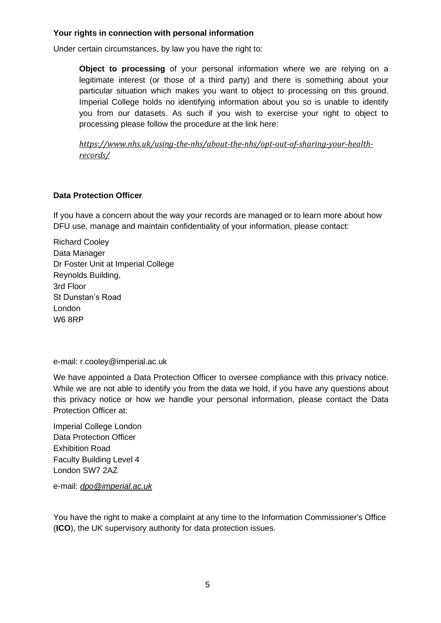## **Your rights in connection with personal information**

Under certain circumstances, by law you have the right to:

**Object to processing** of your personal information where we are relying on a legitimate interest (or those of a third party) and there is something about your particular situation which makes you want to object to processing on this ground. Imperial College holds no identifying information about you so is unable to identify you from our datasets. As such if you wish to exercise your right to object to processing please follow the procedure at the link here:

*[https://www.nhs.uk/using-the-nhs/about-the-nhs/opt-out-of-sharing-your-health](https://www.nhs.uk/using-the-nhs/about-the-nhs/opt-out-of-sharing-your-health-records/)[records/](https://www.nhs.uk/using-the-nhs/about-the-nhs/opt-out-of-sharing-your-health-records/)*

## **Data Protection Officer**

If you have a concern about the way your records are managed or to learn more about how DFU use, manage and maintain confidentiality of your information, please contact:

Richard Cooley Data Manager Dr Foster Unit at Imperial College Reynolds Building, 3rd Floor St Dunstan's Road London W6 8RP

e-mail: r.cooley@imperial.ac.uk

We have appointed a Data Protection Officer to oversee compliance with this privacy notice. While we are not able to identify you from the data we hold, if you have any questions about this privacy notice or how we handle your personal information, please contact the Data Protection Officer at:

Imperial College London Data Protection Officer Exhibition Road Faculty Building Level 4 London SW7 2AZ

e-mail: *[dpo@imperial.ac.uk](mailto:dpo@imperial.ac.uk)*

You have the right to make a complaint at any time to the Information Commissioner's Office (**ICO**), the UK supervisory authority for data protection issues.